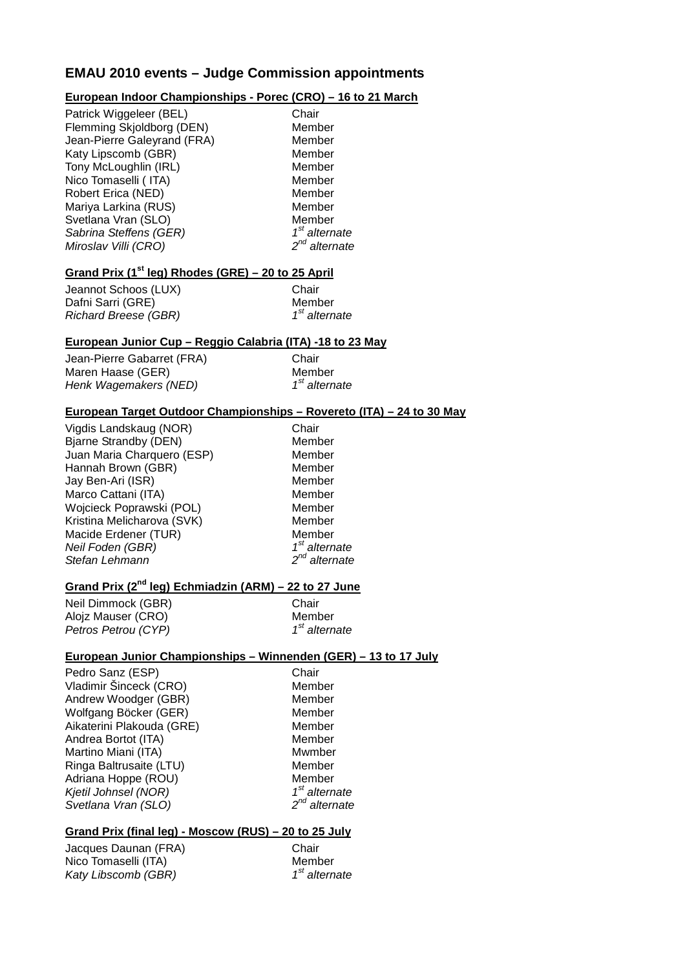## **EMAU 2010 events – Judge Commission appointments**

### **European Indoor Championships - Porec (CRO) – 16 to 21 March**

| Patrick Wiggeleer (BEL)<br>Flemming Skjoldborg (DEN)<br>Member<br>Jean-Pierre Galeyrand (FRA)<br>Katy Lipscomb (GBR)<br>Tony McLoughlin (IRL)<br>Nico Tomaselli (ITA)<br>Robert Erica (NED)<br>Mariya Larkina (RUS)<br>Svetlana Vran (SLO)<br>Sabrina Steffens (GER) | Member<br>Member<br>Member<br>Member<br>Member<br>Member<br>Member<br>$1st$ alternate |
|----------------------------------------------------------------------------------------------------------------------------------------------------------------------------------------------------------------------------------------------------------------------|---------------------------------------------------------------------------------------|
| Miroslav Villi (CRO)                                                                                                                                                                                                                                                 | $2^{nd}$ alternate                                                                    |

## **Grand Prix (1st leg) Rhodes (GRE) – 20 to 25 April**

Jeannot Schoos (LUX) Chair Dafni Sarri (GRE)<br>
Richard Breese (GBR) Member 1<sup>st</sup> alternate Richard Breese (GBR)

#### **European Junior Cup – Reggio Calabria (ITA) -18 to 23 May**

Jean-Pierre Gabarret (FRA) Chair Maren Haase (GER) Member<br>Henk Wagemakers (NED) Man Maternate Henk Wagemakers (NED)

### **European Target Outdoor Championships – Rovereto (ITA) – 24 to 30 May**

Vigdis Landskaug (NOR) Chair Bjarne Strandby (DEN) Member Juan Maria Charquero (ESP) Member Hannah Brown (GBR) Member Jay Ben-Ari (ISR) Member Marco Cattani (ITA) Member Wojcieck Poprawski (POL) Member Kristina Melicharova (SVK) Member Macide Erdener (TUR) Member<br> *Neil Foden (GBR)*  $1^{st}$  alternate<br> *Stefan Lehmann*  $2^{nd}$  alternate Neil Foden (GBR) Stefan Lehmann

## **Grand Prix (2nd leg) Echmiadzin (ARM) – 22 to 27 June**

Neil Dimmock (GBR) Chair Alojz Mauser (CRO) Member<br>
Petros Petrou (CYP) Member 1<sup>st</sup> alternate Petros Petrou (CYP)

#### **European Junior Championships – Winnenden (GER) – 13 to 17 July**

Pedro Sanz (ESP) Chair Vladimir Šinceck (CRO) Member<br>
Andrew Woodger (GBR) Member Andrew Woodger (GBR) Wolfgang Böcker (GER) Member Aikaterini Plakouda (GRE) Member Andrea Bortot (ITA) Member Martino Miani (ITA) Mwmber Ringa Baltrusaite (LTU) Member Adriana Hoppe (ROU) Member Kjetil Johnsel (NOR)<br>Svetlana Vran (SLO) 1st alternate 2<sup>nd</sup> alternate Svetlana Vran (SLO)

#### **Grand Prix (final leg) - Moscow (RUS) – 20 to 25 July**

Jacques Daunan (FRA) Chair Nico Tomaselli (ITA) Member<br>
Katy Libscomb (GBR) 1<sup>st</sup> alternate Katy Libscomb (GBR)